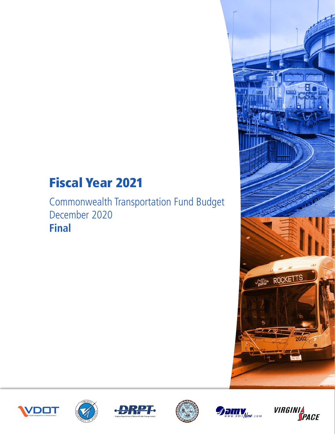# Fiscal Year 2021

Commonwealth Transportation Fund Budget December 2020 **Final**













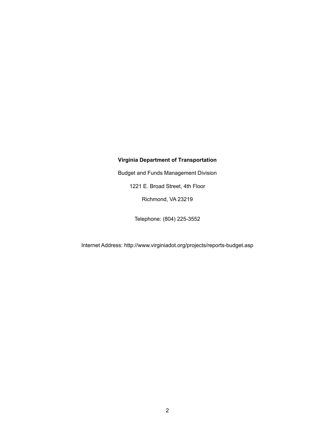#### **Virginia Department of Transportation**

Budget and Funds Management Division

1221 E. Broad Street, 4th Floor

Richmond, VA 23219

Telephone: (804) 225-3552

Internet Address: http://www.virginiadot.org/projects/reports-budget.asp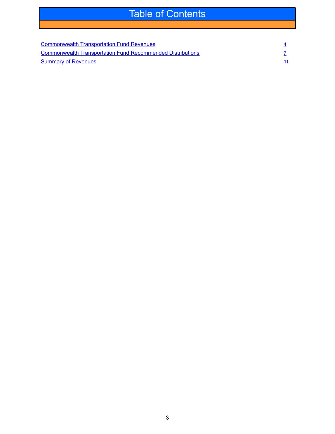### Table of Contents

| <b>Commonwealth Transportation Fund Revenues</b>                  |  |
|-------------------------------------------------------------------|--|
| <b>Commonwealth Transportation Fund Recommended Distributions</b> |  |
| <b>Summary of Revenues</b>                                        |  |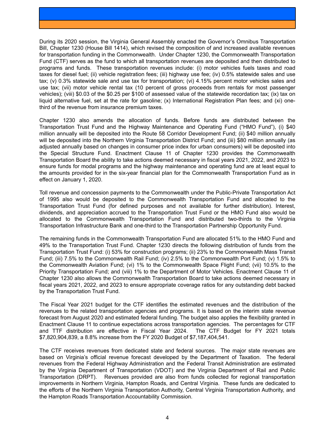<span id="page-3-0"></span>During its 2020 session, the Virginia General Assembly enacted the Governor's Omnibus Transportation Bill, Chapter 1230 (House Bill 1414), which revised the composition of and increased available revenues for transportation funding in the Commonwealth. Under Chapter 1230, the Commonwealth Transportation Fund (CTF) serves as the fund to which all transportation revenues are deposited and then distributed to programs and funds. These transportation revenues include: (i) motor vehicles fuels taxes and road taxes for diesel fuel; (ii) vehicle registration fees; (iii) highway use fee; (iv) 0.5% statewide sales and use tax; (v) 0.3% statewide sale and use tax for transportation; (vi) 4.15% percent motor vehicles sales and use tax; (vii) motor vehicle rental tax (10 percent of gross proceeds from rentals for most passenger vehicles); (viii) \$0.03 of the \$0.25 per \$100 of assessed value of the statewide recordation tax; (ix) tax on liquid alternative fuel, set at the rate for gasoline; (x) International Registration Plan fees; and (xi) onethird of the revenue from insurance premium taxes.

Chapter 1230 also amends the allocation of funds. Before funds are distributed between the Transportation Trust Fund and the Highway Maintenance and Operating Fund ("HMO Fund"), (i) \$40 million annually will be deposited into the Route 58 Corridor Development Fund; (ii) \$40 million annually will be deposited into the Northern Virginia Transportation District Fund; and (iii) \$80 million annually (as adjusted annually based on changes in consumer price index for urban consumers) will be deposited into the Special Structure Fund. Enactment Clause 11 of Chapter 1230 provides the Commonwealth Transportation Board the ability to take actions deemed necessary in fiscal years 2021, 2022, and 2023 to ensure funds for modal programs and the highway maintenance and operating fund are at least equal to the amounts provided for in the six-year financial plan for the Commonwealth Transportation Fund as in effect on January 1, 2020.

Toll revenue and concession payments to the Commonwealth under the Public-Private Transportation Act of 1995 also would be deposited to the Commonwealth Transportation Fund and allocated to the Transportation Trust Fund (for defined purposes and not available for further distribution). Interest, dividends, and appreciation accrued to the Transportation Trust Fund or the HMO Fund also would be allocated to the Commonwealth Transportation Fund and distributed two-thirds to the Virginia Transportation Infrastructure Bank and one-third to the Transportation Partnership Opportunity Fund.

The remaining funds in the Commonwealth Transportation Fund are allocated 51% to the HMO Fund and 49% to the Transportation Trust Fund. Chapter 1230 directs the following distribution of funds from the Transportation Trust Fund: (i) 53% for construction programs; (ii) 23% to the Commonwealth Mass Transit Fund; (iii) 7.5% to the Commonwealth Rail Fund; (iv) 2.5% to the Commonwealth Port Fund; (v) 1.5% to the Commonwealth Aviation Fund; (vi) 1% to the Commonwealth Space Flight Fund; (vii) 10.5% to the Priority Transportation Fund; and (viii) 1% to the Department of Motor Vehicles. Enactment Clause 11 of Chapter 1230 also allows the Commonwealth Transportation Board to take actions deemed necessary in fiscal years 2021, 2022, and 2023 to ensure appropriate coverage ratios for any outstanding debt backed by the Transportation Trust Fund.

The Fiscal Year 2021 budget for the CTF identifies the estimated revenues and the distribution of the revenues to the related transportation agencies and programs. It is based on the interim state revenue forecast from August 2020 and estimated federal funding. The budget also applies the flexibility granted in Enactment Clause 11 to continue expectations across transportation agencies. The percentages for CTF and TTF distribution are effective in Fiscal Year 2024. The CTF Budget for FY 2021 totals \$7,820,904,839, a 8.8% increase from the FY 2020 Budget of \$7,187,404,541.

The CTF receives revenues from dedicated state and federal sources. The major state revenues are based on Virginia's official revenue forecast developed by the Department of Taxation. The federal revenues from the Federal Highway Administration and the Federal Transit Administration are estimated by the Virginia Department of Transportation (VDOT) and the Virginia Department of Rail and Public Transportation (DRPT). Revenues provided are also from funds collected for regional transportation improvements in Northern Virginia, Hampton Roads, and Central Virginia. These funds are dedicated to the efforts of the Northern Virginia Transportation Authority, Central Virginia Transportation Authority, and the Hampton Roads Transportation Accountability Commission.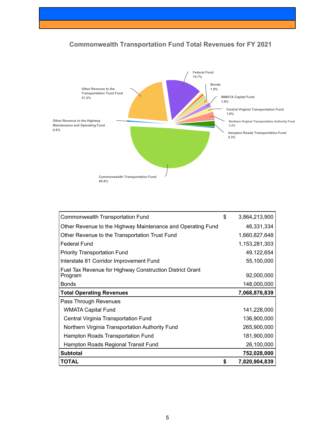



| Commonwealth Transportation Fund                                    | \$<br>3,864,213,900 |
|---------------------------------------------------------------------|---------------------|
| Other Revenue to the Highway Maintenance and Operating Fund         | 46,331,334          |
| Other Revenue to the Transportation Trust Fund                      | 1,660,827,648       |
| <b>Federal Fund</b>                                                 | 1,153,281,303       |
| <b>Priority Transportation Fund</b>                                 | 49,122,654          |
| Interstate 81 Corridor Improvement Fund                             | 55,100,000          |
| Fuel Tax Revenue for Highway Construction District Grant<br>Program | 92,000,000          |
| <b>Bonds</b>                                                        | 148,000,000         |
| <b>Total Operating Revenues</b>                                     | 7,068,876,839       |
| Pass Through Revenues                                               |                     |
| <b>WMATA Capital Fund</b>                                           | 141,228,000         |
| Central Virginia Transportation Fund                                | 136,900,000         |
| Northern Virginia Transportation Authority Fund                     | 265,900,000         |
| Hampton Roads Transportation Fund                                   | 181,900,000         |
| Hampton Roads Regional Transit Fund                                 | 26,100,000          |
| <b>Subtotal</b>                                                     | 752,028,000         |
| <b>TOTAL</b>                                                        | \$<br>7,820,904,839 |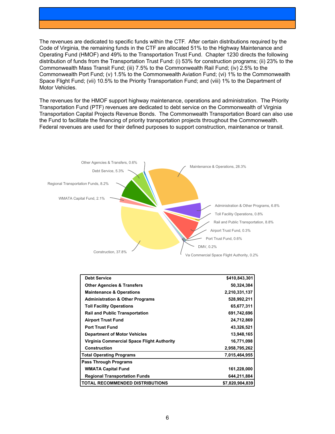The revenues are dedicated to specific funds within the CTF. After certain distributions required by the Code of Virginia, the remaining funds in the CTF are allocated 51% to the Highway Maintenance and Operating Fund (HMOF) and 49% to the Transportation Trust Fund. Chapter 1230 directs the following distribution of funds from the Transportation Trust Fund: (i) 53% for construction programs; (ii) 23% to the Commonwealth Mass Transit Fund; (iii) 7.5% to the Commonwealth Rail Fund; (iv) 2.5% to the Commonwealth Port Fund; (v) 1.5% to the Commonwealth Aviation Fund; (vi) 1% to the Commonwealth Space Flight Fund; (vii) 10.5% to the Priority Transportation Fund; and (viii) 1% to the Department of Motor Vehicles.

The revenues for the HMOF support highway maintenance, operations and administration. The Priority Transportation Fund (PTF) revenues are dedicated to debt service on the Commonwealth of Virginia Transportation Capital Projects Revenue Bonds. The Commonwealth Transportation Board can also use the Fund to facilitate the financing of priority transportation projects throughout the Commonwealth. Federal revenues are used for their defined purposes to support construction, maintenance or transit.



| <b>Debt Service</b>                        | \$410,843,301   |
|--------------------------------------------|-----------------|
| <b>Other Agencies &amp; Transfers</b>      | 50,324,384      |
| <b>Maintenance &amp; Operations</b>        | 2,210,331,137   |
| <b>Administration &amp; Other Programs</b> | 528,992,211     |
| <b>Toll Facility Operations</b>            | 65,677,311      |
| <b>Rail and Public Transportation</b>      | 691,742,696     |
| <b>Airport Trust Fund</b>                  | 24,712,869      |
| <b>Port Trust Fund</b>                     | 43,326,521      |
| <b>Department of Motor Vehicles</b>        | 13,948,165      |
| Virginia Commercial Space Flight Authority | 16,771,098      |
| Construction                               | 2,958,795,262   |
| <b>Total Operating Programs</b>            | 7,015,464,955   |
| <b>Pass Through Programs</b>               |                 |
| <b>WMATA Capital Fund</b>                  | 161,228,000     |
| <b>Regional Transportation Funds</b>       | 644,211,884     |
| <b>TOTAL RECOMMENDED DISTRIBUTIONS</b>     | \$7,820,904,839 |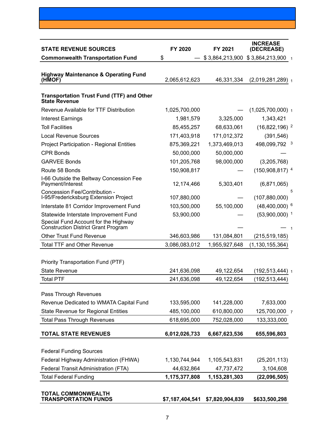<span id="page-6-0"></span>

| <b>STATE REVENUE SOURCES</b>                                                       | FY 2020         | FY 2021         | <b>INCREASE</b><br>(DECREASE) |
|------------------------------------------------------------------------------------|-----------------|-----------------|-------------------------------|
| <b>Commonwealth Transportation Fund</b>                                            | \$              | \$3,864,213,900 | \$3,864,213,900 1             |
| <b>Highway Maintenance &amp; Operating Fund</b><br>(HMOF)                          | 2,065,612,623   | 46,331,334      | $(2,019,281,289)$ 1           |
| <b>Transportation Trust Fund (TTF) and Other</b><br><b>State Revenue</b>           |                 |                 |                               |
| Revenue Available for TTF Distribution                                             | 1,025,700,000   |                 | $(1,025,700,000)$ 1           |
| <b>Interest Earnings</b>                                                           | 1,981,579       | 3,325,000       | 1,343,421                     |
| <b>Toll Facilities</b>                                                             | 85,455,257      | 68,633,061      | $(16,822,196)$ <sup>2</sup>   |
| <b>Local Revenue Sources</b>                                                       | 171,403,918     | 171,012,372     | (391, 546)                    |
| <b>Project Participation - Regional Entities</b>                                   | 875,369,221     | 1,373,469,013   | 498,099,792 3                 |
| <b>CPR Bonds</b>                                                                   | 50,000,000      | 50,000,000      |                               |
| <b>GARVEE Bonds</b>                                                                | 101,205,768     | 98,000,000      | (3,205,768)                   |
| Route 58 Bonds                                                                     | 150,908,817     |                 | $(150,908,817)^4$             |
| I-66 Outside the Beltway Concession Fee<br>Payment/Interest                        | 12,174,466      | 5,303,401       | (6,871,065)                   |
| Concession Fee/Contribution -<br>I-95/Fredericksburg Extension Project             | 107,880,000     |                 | 5<br>(107, 880, 000)          |
| Interstate 81 Corridor Improvement Fund                                            | 103,500,000     | 55,100,000      | $(48,400,000)^6$              |
| Statewide Interstate Improvement Fund                                              | 53,900,000      |                 | $(53,900,000)$ <sup>1</sup>   |
| Special Fund Account for the Highway<br><b>Construction District Grant Program</b> |                 |                 |                               |
| <b>Other Trust Fund Revenue</b>                                                    | 346,603,986     | 131,084,801     | (215, 519, 185)               |
| <b>Total TTF and Other Revenue</b>                                                 | 3,086,083,012   | 1,955,927,648   | (1, 130, 155, 364)            |
| Priority Transportation Fund (PTF)                                                 |                 |                 |                               |
| <b>State Revenue</b>                                                               | 241,636,098     | 49,122,654      | $(192, 513, 444)$ 1           |
| <b>Total PTF</b>                                                                   | 241,636,098     | 49,122,654      | (192, 513, 444)               |
| Pass Through Revenues                                                              |                 |                 |                               |
| Revenue Dedicated to WMATA Capital Fund                                            | 133,595,000     | 141,228,000     | 7,633,000                     |
| <b>State Revenue for Regional Entities</b>                                         | 485,100,000     | 610,800,000     | 125,700,000                   |
| <b>Total Pass Through Revenues</b>                                                 | 618,695,000     | 752,028,000     | 133,333,000                   |
| <b>TOTAL STATE REVENUES</b>                                                        | 6,012,026,733   | 6,667,623,536   | 655,596,803                   |
| <b>Federal Funding Sources</b>                                                     |                 |                 |                               |
| Federal Highway Administration (FHWA)                                              | 1,130,744,944   | 1,105,543,831   | (25, 201, 113)                |
| Federal Transit Administration (FTA)                                               | 44,632,864      | 47,737,472      | 3,104,608                     |
| <b>Total Federal Funding</b>                                                       | 1,175,377,808   | 1,153,281,303   | (22,096,505)                  |
| <b>TOTAL COMMONWEALTH</b><br><b>TRANSPORTATION FUNDS</b>                           | \$7,187,404,541 | \$7,820,904,839 | \$633,500,298                 |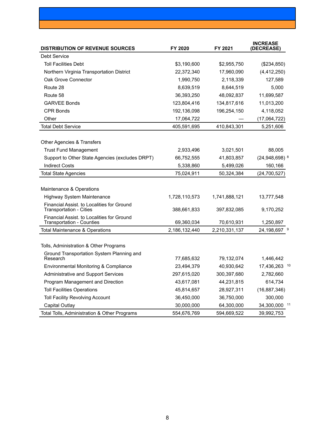| <b>DISTRIBUTION OF REVENUE SOURCES</b>                                         | FY 2020       | FY 2021       | <b>INCREASE</b><br><b>(DECREASE)</b> |
|--------------------------------------------------------------------------------|---------------|---------------|--------------------------------------|
| <b>Debt Service</b>                                                            |               |               |                                      |
| <b>Toll Facilities Debt</b>                                                    | \$3,190,600   | \$2,955,750   | (\$234,850)                          |
| Northern Virginia Transportation District                                      | 22,372,340    | 17,960,090    | (4, 412, 250)                        |
| Oak Grove Connector                                                            | 1,990,750     | 2,118,339     | 127,589                              |
| Route 28                                                                       | 8,639,519     | 8,644,519     | 5,000                                |
| Route 58                                                                       | 36,393,250    | 48,092,837    | 11,699,587                           |
| <b>GARVEE Bonds</b>                                                            | 123,804,416   | 134,817,616   | 11,013,200                           |
| <b>CPR Bonds</b>                                                               | 192,136,098   | 196,254,150   | 4,118,052                            |
| Other                                                                          | 17,064,722    |               | (17,064,722)                         |
| <b>Total Debt Service</b>                                                      | 405,591,695   | 410,843,301   | 5,251,606                            |
| Other Agencies & Transfers                                                     |               |               |                                      |
| <b>Trust Fund Management</b>                                                   | 2,933,496     | 3,021,501     | 88,005                               |
| Support to Other State Agencies (excludes DRPT)                                | 66,752,555    | 41,803,857    | $(24,948,698)$ <sup>8</sup>          |
| <b>Indirect Costs</b>                                                          | 5,338,860     | 5,499,026     | 160,166                              |
| <b>Total State Agencies</b>                                                    | 75,024,911    | 50,324,384    | (24, 700, 527)                       |
| Maintenance & Operations                                                       |               |               |                                      |
| Highway System Maintenance                                                     | 1,728,110,573 | 1,741,888,121 | 13,777,548                           |
| Financial Assist. to Localities for Ground<br><b>Transportation - Cities</b>   | 388,661,833   | 397,832,085   | 9,170,252                            |
| Financial Assist. to Localities for Ground<br><b>Transportation - Counties</b> | 69,360,034    | 70,610,931    | 1,250,897                            |
| Total Maintenance & Operations                                                 | 2,186,132,440 | 2,210,331,137 | 24,198,697 9                         |
| Tolls, Administration & Other Programs                                         |               |               |                                      |
| Ground Transportation System Planning and<br>Research                          | 77,685,632    | 79,132,074    | 1,446,442                            |
| Environmental Monitoring & Compliance                                          | 23,494,379    | 40,930,642    | 17,436,263<br>10                     |
| Administrative and Support Services                                            | 297,615,020   | 300,397,680   | 2,782,660                            |
| Program Management and Direction                                               | 43,617,081    | 44,231,815    | 614,734                              |
| <b>Toll Facilities Operations</b>                                              | 45,814,657    | 28,927,311    | (16, 887, 346)                       |
| <b>Toll Facility Revolving Account</b>                                         | 36,450,000    | 36,750,000    | 300,000                              |
| Capital Outlay                                                                 | 30,000,000    | 64,300,000    | 34,300,000 11                        |
| Total Tolls, Administration & Other Programs                                   | 554,676,769   | 594,669,522   | 39,992,753                           |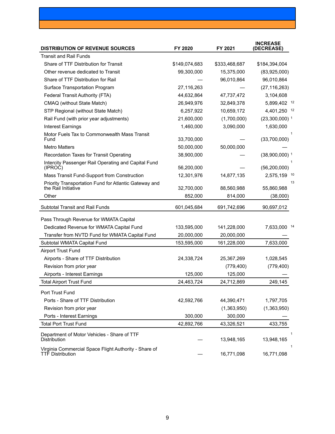| <b>DISTRIBUTION OF REVENUE SOURCES</b>                                           | FY 2020       | FY 2021       | <b>INCREASE</b><br>(DECREASE) |
|----------------------------------------------------------------------------------|---------------|---------------|-------------------------------|
| <b>Transit and Rail Funds</b>                                                    |               |               |                               |
| Share of TTF Distribution for Transit                                            | \$149,074,683 | \$333,468,687 | \$184,394,004                 |
| Other revenue dedicated to Transit                                               | 99,300,000    | 15,375,000    | (83,925,000)                  |
| Share of TTF Distribution for Rail                                               |               | 96,010,864    | 96,010,864                    |
| Surface Transportation Program                                                   | 27,116,263    |               | (27, 116, 263)                |
| Federal Transit Authority (FTA)                                                  | 44,632,864    | 47,737,472    | 3,104,608                     |
| CMAQ (without State Match)                                                       | 26,949,976    | 32,849,378    | 5,899,402 12                  |
| STP Regional (without State Match)                                               | 6,257,922     | 10,659,172    | 4,401,250 12                  |
| Rail Fund (with prior year adjustments)                                          | 21,600,000    | (1,700,000)   | $(23,300,000)$ <sup>1</sup>   |
| <b>Interest Earnings</b>                                                         | 1,460,000     | 3,090,000     | 1,630,000                     |
| Motor Fuels Tax to Commonwealth Mass Transit<br>Fund                             | 33,700,000    |               | 1<br>(33,700,000)             |
| <b>Metro Matters</b>                                                             | 50,000,000    | 50,000,000    |                               |
| Recordation Taxes for Transit Operating                                          | 38,900,000    |               | $(38,900,000)$ <sup>1</sup>   |
| Intercity Passenger Rail Operating and Capital Fund<br>(IPROC)                   | 56,200,000    |               | (56, 200, 000)                |
| Mass Transit Fund-Support from Construction                                      | 12,301,976    | 14,877,135    | 2,575,159 10                  |
| Priority Transportation Fund for Atlantic Gateway and<br>the Rail Initiative     | 32,700,000    | 88,560,988    | 13<br>55,860,988              |
| Other                                                                            | 852,000       | 814,000       | (38,000)                      |
| <b>Subtotal Transit and Rail Funds</b>                                           | 601,045,684   | 691,742,696   | 90,697,012                    |
| Pass Through Revenue for WMATA Capital                                           |               |               |                               |
| Dedicated Revenue for WMATA Capital Fund                                         | 133,595,000   | 141,228,000   | 7,633,000 14                  |
| Transfer from NVTD Fund for WMATA Capital Fund                                   | 20,000,000    | 20,000,000    |                               |
| Subtotal WMATA Capital Fund                                                      | 153,595,000   | 161,228,000   | 7,633,000                     |
| <b>Airport Trust Fund</b>                                                        |               |               |                               |
| Airports - Share of TTF Distribution                                             | 24,338,724    | 25,367,269    | 1,028,545                     |
| Revision from prior year                                                         |               | (779, 400)    | (779, 400)                    |
| Airports - Interest Earnings                                                     | 125,000       | 125,000       |                               |
| <b>Total Airport Trust Fund</b>                                                  | 24,463,724    | 24,712,869    | 249,145                       |
| Port Trust Fund                                                                  |               |               |                               |
| Ports - Share of TTF Distribution                                                | 42,592,766    | 44,390,471    | 1,797,705                     |
| Revision from prior year                                                         |               | (1,363,950)   | (1,363,950)                   |
| Ports - Interest Earnings                                                        | 300,000       | 300,000       |                               |
| <b>Total Port Trust Fund</b>                                                     | 42,892,766    | 43,326,521    | 433,755                       |
| Department of Motor Vehicles - Share of TTF<br>Distribution                      |               | 13,948,165    | 1<br>13,948,165               |
| Virginia Commercial Space Flight Authority - Share of<br><b>TTF Distribution</b> |               | 16,771,098    | 1<br>16,771,098               |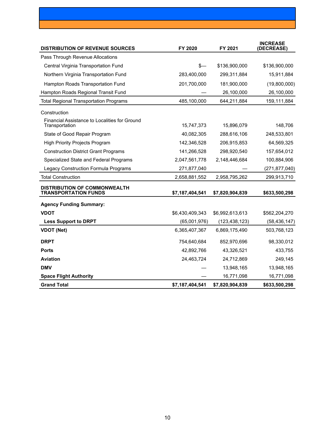| <b>DISTRIBUTION OF REVENUE SOURCES</b>                          | FY 2020         | FY 2021         | <b>INCREASE</b><br>(DECREASE) |
|-----------------------------------------------------------------|-----------------|-----------------|-------------------------------|
| Pass Through Revenue Allocations                                |                 |                 |                               |
| Central Virginia Transportation Fund                            | \$—             | \$136,900,000   | \$136,900,000                 |
| Northern Virginia Transportation Fund                           | 283,400,000     | 299,311,884     | 15,911,884                    |
| Hampton Roads Transportation Fund                               | 201,700,000     | 181,900,000     | (19,800,000)                  |
| Hampton Roads Regional Transit Fund                             |                 | 26,100,000      | 26,100,000                    |
| <b>Total Regional Transportation Programs</b>                   | 485,100,000     | 644,211,884     | 159,111,884                   |
| Construction                                                    |                 |                 |                               |
| Financial Assistance to Localities for Ground<br>Transportation | 15,747,373      | 15,896,079      | 148,706                       |
| State of Good Repair Program                                    | 40,082,305      | 288,616,106     | 248,533,801                   |
| <b>High Priority Projects Program</b>                           | 142,346,528     | 206,915,853     | 64,569,325                    |
| <b>Construction District Grant Programs</b>                     | 141,266,528     | 298,920,540     | 157,654,012                   |
| Specialized State and Federal Programs                          | 2,047,561,778   | 2,148,446,684   | 100,884,906                   |
| Legacy Construction Formula Programs                            | 271,877,040     |                 | (271, 877, 040)               |
| <b>Total Construction</b>                                       | 2,658,881,552   | 2,958,795,262   | 299,913,710                   |
| DISTRIBUTION OF COMMONWEALTH<br><b>TRANSPORTATION FUNDS</b>     | \$7,187,404,541 | \$7,820,904,839 | \$633,500,298                 |
| <b>Agency Funding Summary:</b>                                  |                 |                 |                               |
| <b>VDOT</b>                                                     | \$6,430,409,343 | \$6,992,613,613 | \$562,204,270                 |
| <b>Less Support to DRPT</b>                                     | (65,001,976)    | (123, 438, 123) | (58, 436, 147)                |
| <b>VDOT (Net)</b>                                               | 6,365,407,367   | 6,869,175,490   | 503,768,123                   |
| <b>DRPT</b>                                                     | 754,640,684     | 852,970,696     | 98,330,012                    |
| <b>Ports</b>                                                    | 42,892,766      | 43,326,521      | 433,755                       |
| <b>Aviation</b>                                                 | 24,463,724      | 24,712,869      | 249,145                       |
| <b>DMV</b>                                                      |                 | 13,948,165      | 13,948,165                    |
| <b>Space Flight Authority</b>                                   |                 | 16,771,098      | 16,771,098                    |
| <b>Grand Total</b>                                              | \$7,187,404,541 | \$7,820,904,839 | \$633,500,298                 |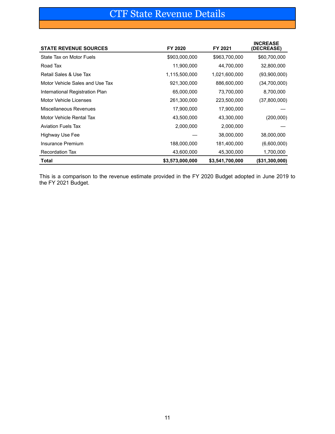# CTF State Revenue Details

<span id="page-10-0"></span>

| <b>STATE REVENUE SOURCES</b>    | FY 2020         | FY 2021         | <b>INCREASE</b><br>(DECREASE) |
|---------------------------------|-----------------|-----------------|-------------------------------|
| State Tax on Motor Fuels        | \$903,000,000   | \$963,700,000   | \$60,700,000                  |
| Road Tax                        | 11,900,000      | 44,700,000      | 32,800,000                    |
| Retail Sales & Use Tax          | 1,115,500,000   | 1,021,600,000   | (93,900,000)                  |
| Motor Vehicle Sales and Use Tax | 921,300,000     | 886,600,000     | (34,700,000)                  |
| International Registration Plan | 65,000,000      | 73,700,000      | 8,700,000                     |
| Motor Vehicle Licenses          | 261,300,000     | 223,500,000     | (37,800,000)                  |
| <b>Miscellaneous Revenues</b>   | 17,900,000      | 17,900,000      |                               |
| Motor Vehicle Rental Tax        | 43,500,000      | 43,300,000      | (200,000)                     |
| <b>Aviation Fuels Tax</b>       | 2,000,000       | 2,000,000       |                               |
| Highway Use Fee                 |                 | 38,000,000      | 38,000,000                    |
| Insurance Premium               | 188,000,000     | 181,400,000     | (6,600,000)                   |
| <b>Recordation Tax</b>          | 43,600,000      | 45,300,000      | 1,700,000                     |
| <b>Total</b>                    | \$3,573,000,000 | \$3,541,700,000 | $($ \$31,300,000)             |

This is a comparison to the revenue estimate provided in the FY 2020 Budget adopted in June 2019 to the FY 2021 Budget.